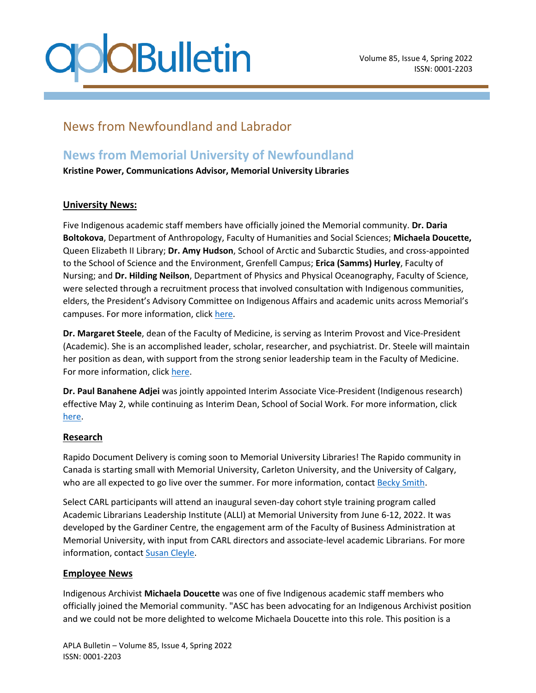# **CBulletin**

### News from Newfoundland and Labrador

### **News from Memorial University of Newfoundland**

**Kristine Power, Communications Advisor, Memorial University Libraries**

### **University News:**

Five Indigenous academic staff members have officially joined the Memorial community. **Dr. Daria Boltokova**, Department of Anthropology, Faculty of Humanities and Social Sciences; **Michaela Doucette,**  Queen Elizabeth II Library; **Dr. Amy Hudson**, School of Arctic and Subarctic Studies, and cross-appointed to the School of Science and the Environment, Grenfell Campus; **Erica (Samms) Hurley**, Faculty of Nursing; and **Dr. Hilding Neilson**, Department of Physics and Physical Oceanography, Faculty of Science, were selected through a recruitment process that involved consultation with Indigenous communities, elders, the President's Advisory Committee on Indigenous Affairs and academic units across Memorial's campuses. For more information, click [here.](https://gazette.mun.ca/teaching-and-learning/advancing-indigenous-scholarship-2/)

**Dr. Margaret Steele**, dean of the Faculty of Medicine, is serving as Interim Provost and Vice-President (Academic). She is an accomplished leader, scholar, researcher, and psychiatrist. Dr. Steele will maintain her position as dean, with support from the strong senior leadership team in the Faculty of Medicine. For more information, click [here.](https://gazette.mun.ca/campus-and-community/leadership-change-6/)

**Dr. Paul Banahene Adjei** was jointly appointed Interim Associate Vice-President (Indigenous research) effective May 2, while continuing as Interim Dean, School of Social Work. For more information, click [here.](https://gazette.mun.ca/research/new-role/)

#### **Research**

Rapido Document Delivery is coming soon to Memorial University Libraries! The Rapido community in Canada is starting small with Memorial University, Carleton University, and the University of Calgary, who are all expected to go live over the summer. For more information, contact [Becky Smith.](mailto:becky.smith@mun.ca)

Select CARL participants will attend an inaugural seven-day cohort style training program called Academic Librarians Leadership Institute (ALLI) at Memorial University from June 6-12, 2022. It was developed by the Gardiner Centre, the engagement arm of the Faculty of Business Administration at Memorial University, with input from CARL directors and associate-level academic Librarians. For more information, contact [Susan Cleyle.](mailto:scleyle@mun.ca)

#### **Employee News**

Indigenous Archivist **Michaela Doucette** was one of five Indigenous academic staff members who officially joined the Memorial community. "ASC has been advocating for an Indigenous Archivist position and we could not be more delighted to welcome Michaela Doucette into this role. This position is a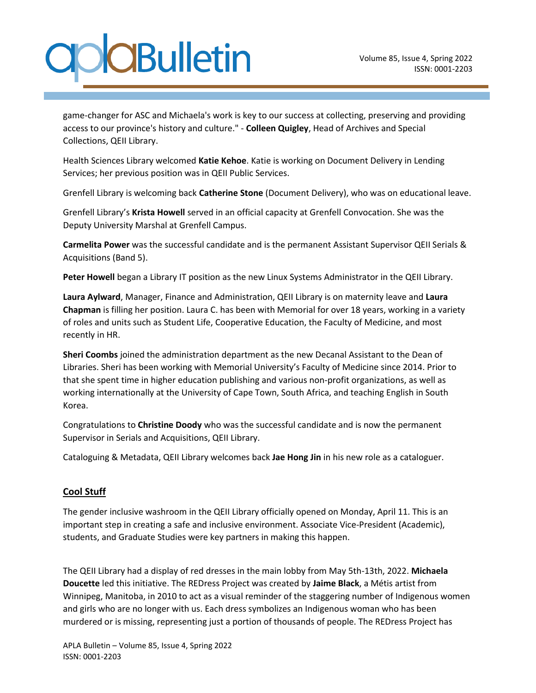# **CBulletin**

game-changer for ASC and Michaela's work is key to our success at collecting, preserving and providing access to our province's history and culture." - **Colleen Quigley**, Head of Archives and Special Collections, QEII Library.

Health Sciences Library welcomed **Katie Kehoe**. Katie is working on Document Delivery in Lending Services; her previous position was in QEII Public Services.

Grenfell Library is welcoming back **Catherine Stone** (Document Delivery), who was on educational leave.

Grenfell Library's **Krista Howell** served in an official capacity at Grenfell Convocation. She was the Deputy University Marshal at Grenfell Campus.

**Carmelita Power** was the successful candidate and is the permanent Assistant Supervisor QEII Serials & Acquisitions (Band 5).

**Peter Howell** began a Library IT position as the new Linux Systems Administrator in the QEII Library.

**Laura Aylward**, Manager, Finance and Administration, QEII Library is on maternity leave and **Laura Chapman** is filling her position. Laura C. has been with Memorial for over 18 years, working in a variety of roles and units such as Student Life, Cooperative Education, the Faculty of Medicine, and most recently in HR.

**Sheri Coombs** joined the administration department as the new Decanal Assistant to the Dean of Libraries. Sheri has been working with Memorial University's Faculty of Medicine since 2014. Prior to that she spent time in higher education publishing and various non-profit organizations, as well as working internationally at the University of Cape Town, South Africa, and teaching English in South Korea.

Congratulations to **Christine Doody** who was the successful candidate and is now the permanent Supervisor in Serials and Acquisitions, QEII Library.

Cataloguing & Metadata, QEII Library welcomes back **Jae Hong Jin** in his new role as a cataloguer.

#### **Cool Stuff**

The gender inclusive washroom in the QEII Library officially opened on Monday, April 11. This is an important step in creating a safe and inclusive environment. Associate Vice-President (Academic), students, and Graduate Studies were key partners in making this happen.

The QEII Library had a display of red dresses in the main lobby from May 5th-13th, 2022. **Michaela Doucette** led this initiative. The REDress Project was created by **Jaime Black**, a Métis artist from Winnipeg, Manitoba, in 2010 to act as a visual reminder of the staggering number of Indigenous women and girls who are no longer with us. Each dress symbolizes an Indigenous woman who has been murdered or is missing, representing just a portion of thousands of people. The REDress Project has